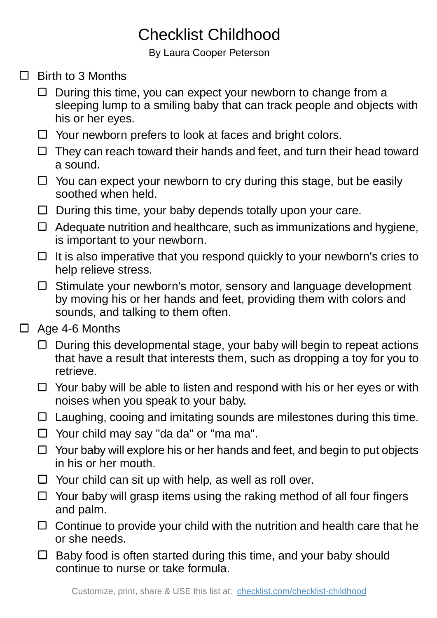## Checklist Childhood

By Laura Cooper Peterson

- $\Box$  Birth to 3 Months
	- $\Box$  During this time, you can expect your newborn to change from a sleeping lump to a smiling baby that can track people and objects with his or her eyes.
	- $\Box$  Your newborn prefers to look at faces and bright colors.
	- $\Box$  They can reach toward their hands and feet, and turn their head toward a sound.
	- $\Box$  You can expect your newborn to cry during this stage, but be easily soothed when held.
	- $\Box$  During this time, your baby depends totally upon your care.
	- $\Box$  Adequate nutrition and healthcare, such as immunizations and hygiene, is important to your newborn.
	- $\Box$  It is also imperative that you respond quickly to your newborn's cries to help relieve stress.
	- $\Box$  Stimulate your newborn's motor, sensory and language development by moving his or her hands and feet, providing them with colors and sounds, and talking to them often.
- □ Age 4-6 Months
	- $\Box$  During this developmental stage, your baby will begin to repeat actions that have a result that interests them, such as dropping a toy for you to retrieve.
	- $\Box$  Your baby will be able to listen and respond with his or her eyes or with noises when you speak to your baby.
	- $\Box$  Laughing, cooing and imitating sounds are milestones during this time.
	- □ Your child may say "da da" or "ma ma".
	- $\Box$  Your baby will explore his or her hands and feet, and begin to put objects in his or her mouth.
	- $\Box$  Your child can sit up with help, as well as roll over.
	- $\Box$  Your baby will grasp items using the raking method of all four fingers and palm.
	- $\Box$  Continue to provide your child with the nutrition and health care that he or she needs.
	- $\Box$  Baby food is often started during this time, and your baby should continue to nurse or take formula.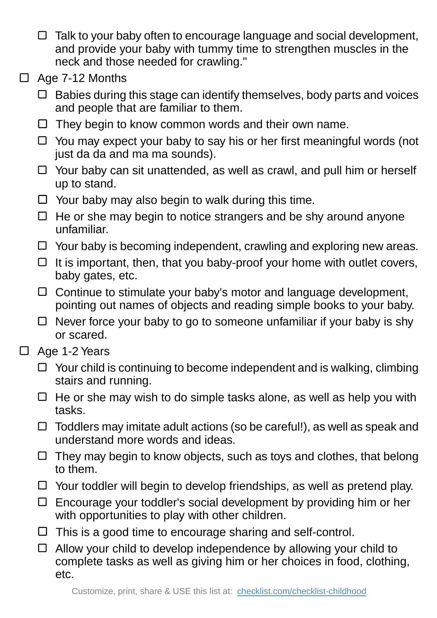- $\Box$  Talk to your baby often to encourage language and social development, and provide your baby with tummy time to strengthen muscles in the neck and those needed for crawling."
- □ Age 7-12 Months
	- $\Box$  Babies during this stage can identify themselves, body parts and voices and people that are familiar to them.
	- $\Box$  They begin to know common words and their own name.
	- □ You may expect your baby to say his or her first meaningful words (not just da da and ma ma sounds).
	- $\Box$  Your baby can sit unattended, as well as crawl, and pull him or herself up to stand.
	- $\Box$  Your baby may also begin to walk during this time.
	- $\Box$  He or she may begin to notice strangers and be shy around anyone unfamiliar.
	- $\Box$  Your baby is becoming independent, crawling and exploring new areas.
	- $\Box$  It is important, then, that you baby-proof your home with outlet covers, baby gates, etc.
	- $\Box$  Continue to stimulate your baby's motor and language development. pointing out names of objects and reading simple books to your baby.
	- $\Box$  Never force your baby to go to someone unfamiliar if your baby is shy or scared.
- □ Age 1-2 Years
	- $\Box$  Your child is continuing to become independent and is walking, climbing stairs and running.
	- $\Box$  He or she may wish to do simple tasks alone, as well as help you with tasks.
	- $\Box$  Toddlers may imitate adult actions (so be careful!), as well as speak and understand more words and ideas.
	- $\Box$  They may begin to know objects, such as toys and clothes, that belong to them.
	- $\Box$  Your toddler will begin to develop friendships, as well as pretend play.
	- $\Box$  Encourage your toddler's social development by providing him or her with opportunities to play with other children.
	- $\Box$  This is a good time to encourage sharing and self-control.
	- $\Box$  Allow your child to develop independence by allowing your child to complete tasks as well as giving him or her choices in food, clothing, etc.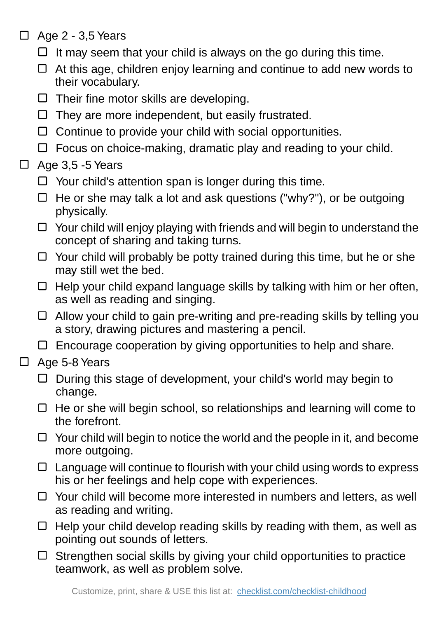- $\Box$  Age 2 3,5 Years
	- $\Box$  It may seem that your child is always on the go during this time.
	- $\Box$  At this age, children enjoy learning and continue to add new words to their vocabulary.
	- $\Box$  Their fine motor skills are developing.
	- $\Box$  They are more independent, but easily frustrated.
	- $\Box$  Continue to provide your child with social opportunities.
	- $\Box$  Focus on choice-making, dramatic play and reading to your child.

## $\Box$ Age 3,5 -5 Years

- $\Box$  Your child's attention span is longer during this time.
- $\Box$  He or she may talk a lot and ask questions ("why?"), or be outgoing physically.
- $\Box$  Your child will enjoy playing with friends and will begin to understand the concept of sharing and taking turns.
- $\Box$  Your child will probably be potty trained during this time, but he or she may still wet the bed.
- $\Box$  Help your child expand language skills by talking with him or her often, as well as reading and singing.
- $\Box$  Allow your child to gain pre-writing and pre-reading skills by telling you a story, drawing pictures and mastering a pencil.
- $\Box$  Encourage cooperation by giving opportunities to help and share.
- □ Age 5-8 Years
	- $\Box$  During this stage of development, your child's world may begin to change.
	- $\Box$  He or she will begin school, so relationships and learning will come to the forefront.
	- $\Box$  Your child will begin to notice the world and the people in it, and become more outgoing.
	- $\Box$  Language will continue to flourish with your child using words to express his or her feelings and help cope with experiences.
	- $\Box$  Your child will become more interested in numbers and letters, as well as reading and writing.
	- $\Box$  Help your child develop reading skills by reading with them, as well as pointing out sounds of letters.
	- $\Box$  Strengthen social skills by giving your child opportunities to practice teamwork, as well as problem solve.